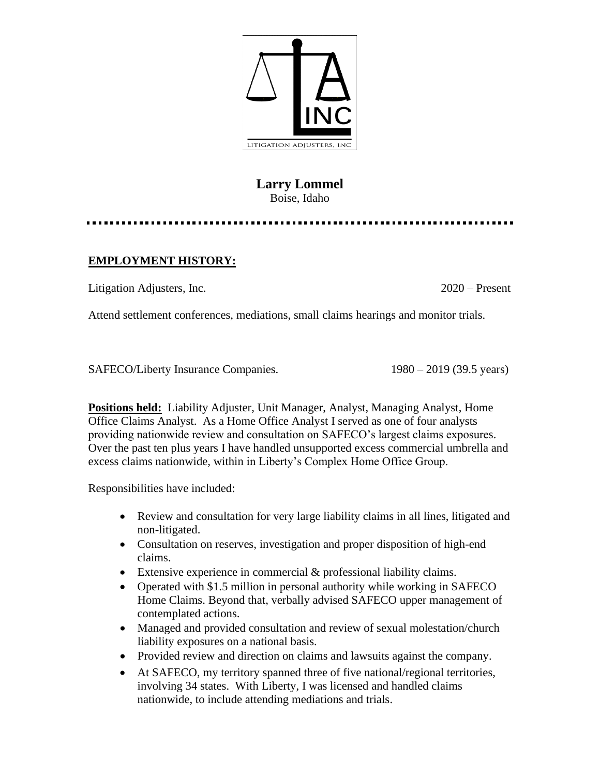

## **Larry Lommel** Boise, Idaho

## **EMPLOYMENT HISTORY:**

Litigation Adjusters, Inc. 2020 – Present

Attend settlement conferences, mediations, small claims hearings and monitor trials.

SAFECO/Liberty Insurance Companies. 1980 – 2019 (39.5 years)

**Positions held:** Liability Adjuster, Unit Manager, Analyst, Managing Analyst, Home Office Claims Analyst. As a Home Office Analyst I served as one of four analysts providing nationwide review and consultation on SAFECO's largest claims exposures. Over the past ten plus years I have handled unsupported excess commercial umbrella and excess claims nationwide, within in Liberty's Complex Home Office Group.

Responsibilities have included:

- Review and consultation for very large liability claims in all lines, litigated and non-litigated.
- Consultation on reserves, investigation and proper disposition of high-end claims.
- Extensive experience in commercial & professional liability claims.
- Operated with \$1.5 million in personal authority while working in SAFECO Home Claims. Beyond that, verbally advised SAFECO upper management of contemplated actions.
- Managed and provided consultation and review of sexual molestation/church liability exposures on a national basis.
- Provided review and direction on claims and lawsuits against the company.
- At SAFECO, my territory spanned three of five national/regional territories, involving 34 states. With Liberty, I was licensed and handled claims nationwide, to include attending mediations and trials.